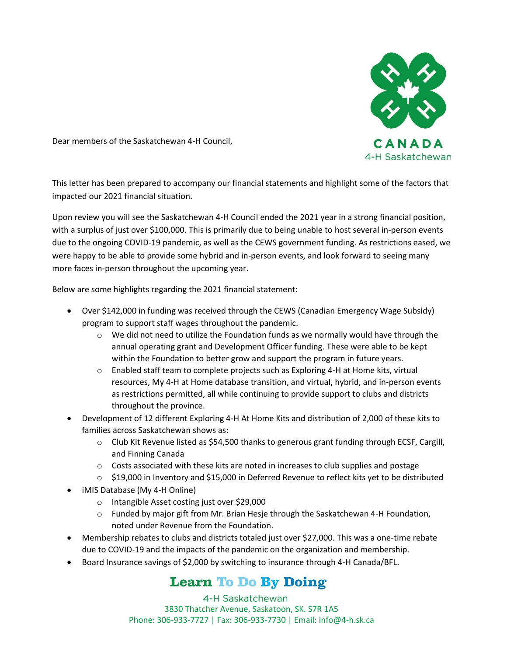

Dear members of the Saskatchewan 4-H Council,

This letter has been prepared to accompany our financial statements and highlight some of the factors that impacted our 2021 financial situation.

Upon review you will see the Saskatchewan 4-H Council ended the 2021 year in a strong financial position, with a surplus of just over \$100,000. This is primarily due to being unable to host several in-person events due to the ongoing COVID-19 pandemic, as well as the CEWS government funding. As restrictions eased, we were happy to be able to provide some hybrid and in-person events, and look forward to seeing many more faces in-person throughout the upcoming year.

Below are some highlights regarding the 2021 financial statement:

- Over \$142,000 in funding was received through the CEWS (Canadian Emergency Wage Subsidy) program to support staff wages throughout the pandemic.
	- $\circ$  We did not need to utilize the Foundation funds as we normally would have through the annual operating grant and Development Officer funding. These were able to be kept within the Foundation to better grow and support the program in future years.
	- $\circ$  Enabled staff team to complete projects such as Exploring 4-H at Home kits, virtual resources, My 4-H at Home database transition, and virtual, hybrid, and in-person events as restrictions permitted, all while continuing to provide support to clubs and districts throughout the province.
- Development of 12 different Exploring 4-H At Home Kits and distribution of 2,000 of these kits to families across Saskatchewan shows as:
	- o Club Kit Revenue listed as \$54,500 thanks to generous grant funding through ECSF, Cargill, and Finning Canada
	- $\circ$  Costs associated with these kits are noted in increases to club supplies and postage
	- o \$19,000 in Inventory and \$15,000 in Deferred Revenue to reflect kits yet to be distributed
- iMIS Database (My 4-H Online)
	- o Intangible Asset costing just over \$29,000
	- $\circ$  Funded by major gift from Mr. Brian Hesje through the Saskatchewan 4-H Foundation, noted under Revenue from the Foundation.
- Membership rebates to clubs and districts totaled just over \$27,000. This was a one-time rebate due to COVID-19 and the impacts of the pandemic on the organization and membership.
- Board Insurance savings of \$2,000 by switching to insurance through 4-H Canada/BFL.

# **Learn To Do By Doing**

4-H Saskatchewan 3830 Thatcher Avenue, Saskatoon, SK. S7R 1A5 Phone: 306-933-7727 | Fax: 306-933-7730 | Email: info@4-h.sk.ca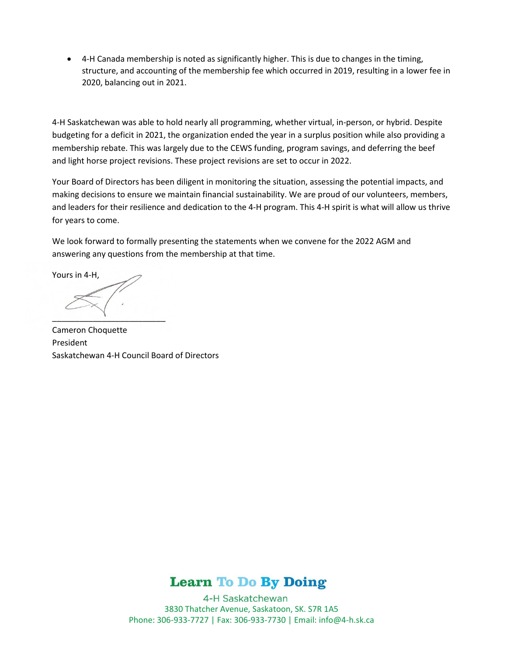• 4-H Canada membership is noted as significantly higher. This is due to changes in the timing, structure, and accounting of the membership fee which occurred in 2019, resulting in a lower fee in 2020, balancing out in 2021.

4-H Saskatchewan was able to hold nearly all programming, whether virtual, in-person, or hybrid. Despite budgeting for a deficit in 2021, the organization ended the year in a surplus position while also providing a membership rebate. This was largely due to the CEWS funding, program savings, and deferring the beef and light horse project revisions. These project revisions are set to occur in 2022.

Your Board of Directors has been diligent in monitoring the situation, assessing the potential impacts, and making decisions to ensure we maintain financial sustainability. We are proud of our volunteers, members, and leaders for their resilience and dedication to the 4-H program. This 4-H spirit is what will allow us thrive for years to come.

We look forward to formally presenting the statements when we convene for the 2022 AGM and answering any questions from the membership at that time.

Yours in 4-H, \_\_\_\_\_\_\_\_\_\_\_\_\_\_\_\_\_\_\_\_\_\_\_\_\_

Cameron Choquette President Saskatchewan 4-H Council Board of Directors



4-H Saskatchewan 3830 Thatcher Avenue, Saskatoon, SK. S7R 1A5 Phone: 306-933-7727 | Fax: 306-933-7730 | Email: info@4-h.sk.ca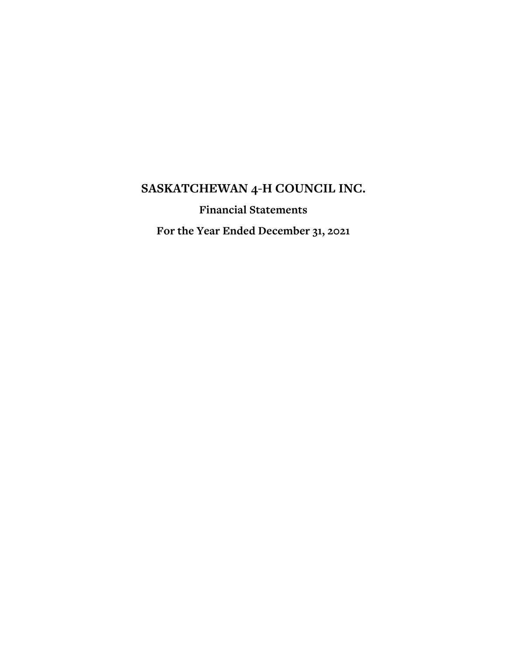**Financial Statements**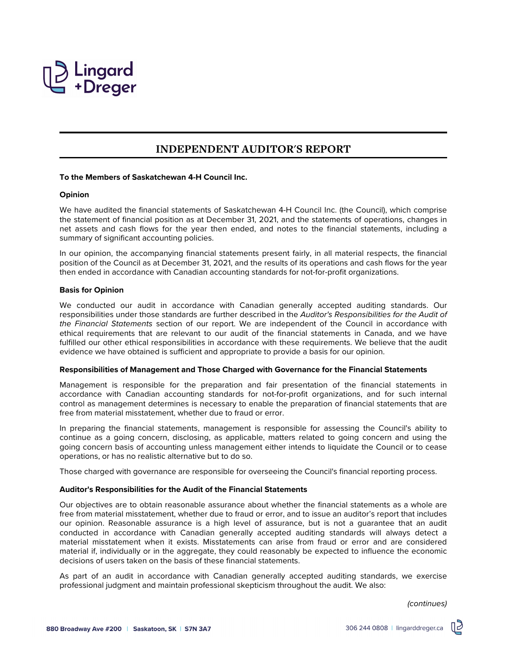

# **INDEPENDENT AUDITOR'S REPORT**

### **To the Members of Saskatchewan 4-H Council Inc.**

### **Opinion**

We have audited the financial statements of Saskatchewan 4-H Council Inc. (the Council), which comprise the statement of financial position as at December 31, 2021, and the statements of operations, changes in net assets and cash flows for the year then ended, and notes to the financial statements, including a summary of significant accounting policies.

In our opinion, the accompanying financial statements present fairly, in all material respects, the financial position of the Council as at December 31, 2021, and the results of its operations and cash flows for the year then ended in accordance with Canadian accounting standards for not-for-profit organizations.

# **Basis for Opinion**

We conducted our audit in accordance with Canadian generally accepted auditing standards. Our responsibilities under those standards are further described in the Auditor's Responsibilities for the Audit of the Financial Statements section of our report. We are independent of the Council in accordance with ethical requirements that are relevant to our audit of the financial statements in Canada, and we have fulfilled our other ethical responsibilities in accordance with these requirements. We believe that the audit evidence we have obtained is sufficient and appropriate to provide a basis for our opinion.

### **Responsibilities of Management and Those Charged with Governance for the Financial Statements**

Management is responsible for the preparation and fair presentation of the financial statements in accordance with Canadian accounting standards for not-for-profit organizations, and for such internal control as management determines is necessary to enable the preparation of financial statements that are free from material misstatement, whether due to fraud or error.

In preparing the financial statements, management is responsible for assessing the Council's ability to continue as a going concern, disclosing, as applicable, matters related to going concern and using the going concern basis of accounting unless management either intends to liquidate the Council or to cease operations, or has no realistic alternative but to do so.

Those charged with governance are responsible for overseeing the Council's financial reporting process.

# **Auditor's Responsibilities for the Audit of the Financial Statements**

Our objectives are to obtain reasonable assurance about whether the financial statements as a whole are free from material misstatement, whether due to fraud or error, and to issue an auditor's report that includes our opinion. Reasonable assurance is a high level of assurance, but is not a guarantee that an audit conducted in accordance with Canadian generally accepted auditing standards will always detect a material misstatement when it exists. Misstatements can arise from fraud or error and are considered material if, individually or in the aggregate, they could reasonably be expected to influence the economic decisions of users taken on the basis of these financial statements.

As part of an audit in accordance with Canadian generally accepted auditing standards, we exercise professional judgment and maintain professional skepticism throughout the audit. We also:

(continues)

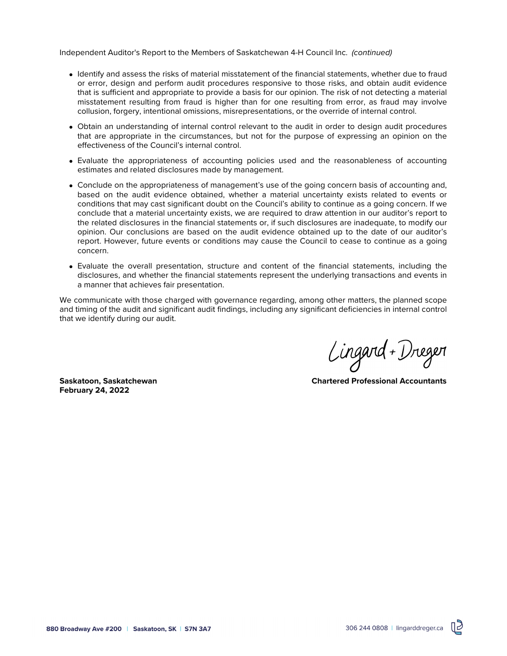Independent Auditor's Report to the Members of Saskatchewan 4-H Council Inc. (continued)

- Identify and assess the risks of material misstatement of the financial statements, whether due to fraud or error, design and perform audit procedures responsive to those risks, and obtain audit evidence that is sufficient and appropriate to provide a basis for our opinion. The risk of not detecting a material misstatement resulting from fraud is higher than for one resulting from error, as fraud may involve collusion, forgery, intentional omissions, misrepresentations, or the override of internal control.
- Obtain an understanding of internal control relevant to the audit in order to design audit procedures that are appropriate in the circumstances, but not for the purpose of expressing an opinion on the effectiveness of the Council's internal control.
- Evaluate the appropriateness of accounting policies used and the reasonableness of accounting estimates and related disclosures made by management.
- Conclude on the appropriateness of management's use of the going concern basis of accounting and, based on the audit evidence obtained, whether a material uncertainty exists related to events or conditions that may cast significant doubt on the Council's ability to continue as a going concern. If we conclude that a material uncertainty exists, we are required to draw attention in our auditor's report to the related disclosures in the financial statements or, if such disclosures are inadequate, to modify our opinion. Our conclusions are based on the audit evidence obtained up to the date of our auditor's report. However, future events or conditions may cause the Council to cease to continue as a going concern.
- Evaluate the overall presentation, structure and content of the financial statements, including the disclosures, and whether the financial statements represent the underlying transactions and events in a manner that achieves fair presentation.

We communicate with those charged with governance regarding, among other matters, the planned scope and timing of the audit and significant audit findings, including any significant deficiencies in internal control that we identify during our audit.

**February 24, 2022**

Lingard + Dreger

**Saskatoon, Saskatchewan Chartered Professional Accountants**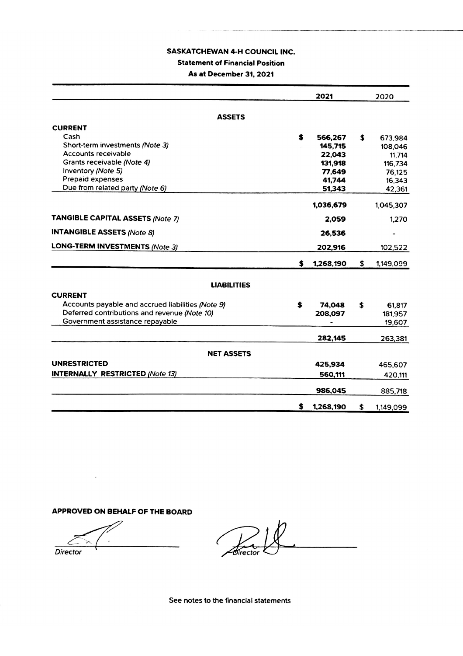# **SASKATCHEWAN 4-H COUNCIL INC. Statement of Financial Position** As at December 31, 2021

|                                                   |    | 2021      | 2020            |
|---------------------------------------------------|----|-----------|-----------------|
|                                                   |    |           |                 |
| <b>ASSETS</b>                                     |    |           |                 |
| <b>CURRENT</b>                                    |    |           |                 |
| Cash                                              | s. | 566,267   | \$<br>673.984   |
| Short-term investments (Note 3)                   |    | 145,715   | 108,046         |
| Accounts receivable                               |    | 22,043    | 11,714          |
| Grants receivable (Note 4)                        |    | 131,918   | 116,734         |
| Inventory (Note 5)                                |    | 77,649    | 76,125          |
| Prepaid expenses                                  |    | 41,744    | 16,343          |
| Due from related party (Note 6)                   |    | 51,343    | 42,361          |
|                                                   |    | 1,036,679 | 1,045,307       |
| <b>TANGIBLE CAPITAL ASSETS (Note 7)</b>           |    | 2,059     | 1.270           |
|                                                   |    |           |                 |
| <b>INTANGIBLE ASSETS (Note 8)</b>                 |    | 26,536    |                 |
| <b>LONG-TERM INVESTMENTS (Note 3)</b>             |    | 202,916   | 102,522         |
|                                                   | S  | 1,268,190 | \$<br>1,149,099 |
|                                                   |    |           |                 |
| <b>LIABILITIES</b>                                |    |           |                 |
| <b>CURRENT</b>                                    |    |           |                 |
| Accounts payable and accrued liabilities (Note 9) | S  | 74,048    | \$<br>61,817    |
| Deferred contributions and revenue (Note 10)      |    | 208,097   | 181,957         |
| Government assistance repayable                   |    |           | 19,607          |
|                                                   |    |           |                 |
|                                                   |    | 282,145   | 263,381         |
| <b>NET ASSETS</b>                                 |    |           |                 |
| <b>UNRESTRICTED</b>                               |    | 425,934   | 465,607         |
| <b>INTERNALLY RESTRICTED (Note 13)</b>            |    | 560,111   | 420,111         |
|                                                   |    |           |                 |
|                                                   |    | 986,045   | 885,718         |
|                                                   | s  | 1,268,190 | \$<br>1,149,099 |

# APPROVED ON BEHALF OF THE BOARD

 $\ddot{\phantom{a}}$ **Director** 

Director

See notes to the financial statements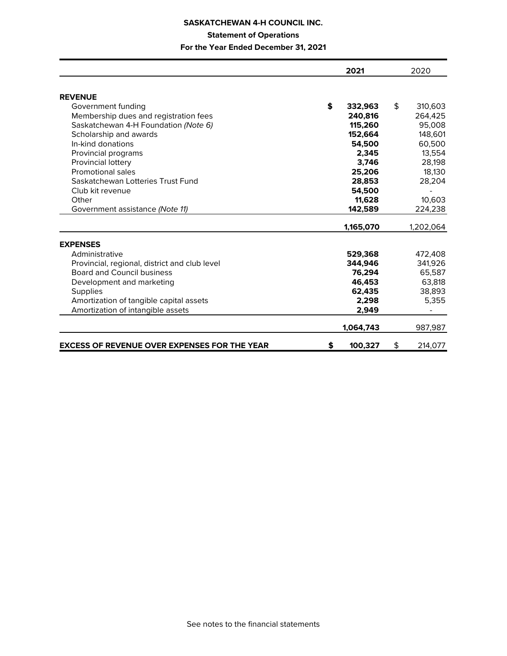# **Statement of Operations**

|                                                     | 2021          | 2020          |
|-----------------------------------------------------|---------------|---------------|
| <b>REVENUE</b>                                      |               |               |
| Government funding                                  | \$<br>332,963 | \$<br>310,603 |
| Membership dues and registration fees               | 240,816       | 264,425       |
| Saskatchewan 4-H Foundation (Note 6)                | 115,260       | 95,008        |
| Scholarship and awards                              | 152,664       | 148,601       |
| In-kind donations                                   | 54,500        | 60,500        |
| Provincial programs                                 | 2.345         | 13,554        |
| Provincial lottery                                  | 3.746         | 28,198        |
| Promotional sales                                   |               | 18,130        |
| Saskatchewan Lotteries Trust Fund                   | 25,206        |               |
| Club kit revenue                                    | 28,853        | 28,204        |
|                                                     | 54,500        |               |
| Other                                               | 11.628        | 10,603        |
| Government assistance (Note 11)                     | 142,589       | 224,238       |
|                                                     | 1,165,070     | 1,202,064     |
| <b>EXPENSES</b>                                     |               |               |
| Administrative                                      | 529,368       | 472,408       |
| Provincial, regional, district and club level       | 344,946       | 341,926       |
| <b>Board and Council business</b>                   | 76,294        | 65,587        |
| Development and marketing                           | 46.453        | 63,818        |
| Supplies                                            | 62,435        | 38,893        |
| Amortization of tangible capital assets             | 2,298         | 5,355         |
| Amortization of intangible assets                   | 2,949         |               |
|                                                     | 1,064,743     | 987,987       |
| <b>EXCESS OF REVENUE OVER EXPENSES FOR THE YEAR</b> | \$<br>100,327 | \$<br>214,077 |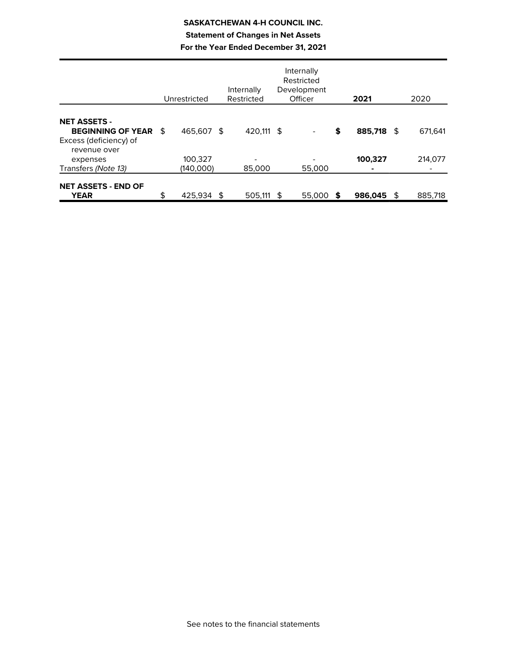# **SASKATCHEWAN 4-H COUNCIL INC. Statement of Changes in Net Assets For the Year Ended December 31, 2021**

|                                                                              | Unrestricted         | Internally<br>Restricted |      | Internally<br>Restricted<br>Development<br>Officer |     | 2021       |   | 2020    |
|------------------------------------------------------------------------------|----------------------|--------------------------|------|----------------------------------------------------|-----|------------|---|---------|
| <b>NET ASSETS -</b><br><b>BEGINNING OF YEAR \$</b><br>Excess (deficiency) of | 465,607 \$           | 420.111 \$               |      |                                                    | \$  | 885,718 \$ |   | 671.641 |
| revenue over<br>expenses<br>Transfers (Note 13)                              | 100,327<br>(140,000) | 85,000                   |      | 55,000                                             |     | 100,327    |   | 214,077 |
| <b>NET ASSETS - END OF</b><br><b>YEAR</b>                                    | \$<br>425.934        | \$<br>505.111            | - \$ | 55,000                                             | - S | 986,045    | £ | 885,718 |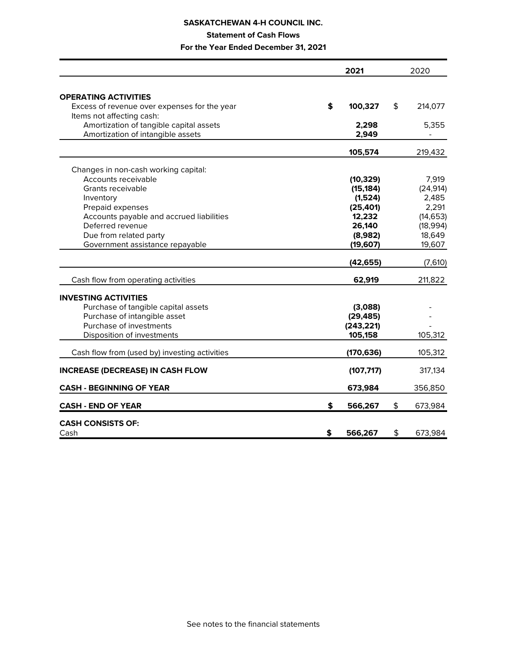# **Statement of Cash Flows**

|                                               | 2021          | 2020          |
|-----------------------------------------------|---------------|---------------|
|                                               |               |               |
| <b>OPERATING ACTIVITIES</b>                   |               |               |
| Excess of revenue over expenses for the year  | \$<br>100,327 | \$<br>214,077 |
| Items not affecting cash:                     |               |               |
| Amortization of tangible capital assets       | 2,298         | 5,355         |
| Amortization of intangible assets             | 2,949         |               |
|                                               | 105,574       | 219,432       |
| Changes in non-cash working capital:          |               |               |
| Accounts receivable                           | (10, 329)     | 7,919         |
| Grants receivable                             | (15, 184)     | (24, 914)     |
| Inventory                                     | (1,524)       | 2,485         |
| Prepaid expenses                              | (25, 401)     | 2,291         |
| Accounts payable and accrued liabilities      | 12,232        | (14, 653)     |
| Deferred revenue                              | 26,140        | (18, 994)     |
| Due from related party                        | (8,982)       | 18,649        |
| Government assistance repayable               | (19, 607)     | 19,607        |
|                                               | (42, 655)     | (7,610)       |
| Cash flow from operating activities           | 62,919        | 211,822       |
| <b>INVESTING ACTIVITIES</b>                   |               |               |
| Purchase of tangible capital assets           | (3,088)       |               |
| Purchase of intangible asset                  | (29, 485)     |               |
| Purchase of investments                       | (243, 221)    |               |
| Disposition of investments                    | 105,158       | 105,312       |
| Cash flow from (used by) investing activities | (170, 636)    | 105,312       |
| <b>INCREASE (DECREASE) IN CASH FLOW</b>       | (107, 717)    | 317,134       |
| <b>CASH - BEGINNING OF YEAR</b>               | 673,984       | 356,850       |
| <b>CASH - END OF YEAR</b>                     | \$<br>566,267 | \$<br>673,984 |
| <b>CASH CONSISTS OF:</b>                      |               |               |
| Cash                                          | \$<br>566,267 | \$<br>673,984 |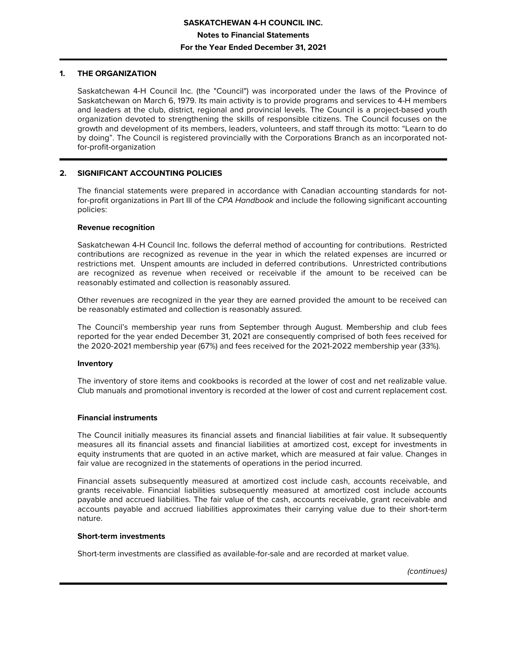## **1. THE ORGANIZATION**

Saskatchewan 4-H Council Inc. (the "Council") was incorporated under the laws of the Province of Saskatchewan on March 6, 1979. Its main activity is to provide programs and services to 4-H members and leaders at the club, district, regional and provincial levels. The Council is a project-based youth organization devoted to strengthening the skills of responsible citizens. The Council focuses on the growth and development of its members, leaders, volunteers, and staff through its motto: "Learn to do by doing". The Council is registered provincially with the Corporations Branch as an incorporated notfor-profit-organization

# **2. SIGNIFICANT ACCOUNTING POLICIES**

The financial statements were prepared in accordance with Canadian accounting standards for notfor-profit organizations in Part III of the CPA Handbook and include the following significant accounting policies:

### **Revenue recognition**

Saskatchewan 4-H Council Inc. follows the deferral method of accounting for contributions. Restricted contributions are recognized as revenue in the year in which the related expenses are incurred or restrictions met. Unspent amounts are included in deferred contributions. Unrestricted contributions are recognized as revenue when received or receivable if the amount to be received can be reasonably estimated and collection is reasonably assured.

Other revenues are recognized in the year they are earned provided the amount to be received can be reasonably estimated and collection is reasonably assured.

The Council's membership year runs from September through August. Membership and club fees reported for the year ended December 31, 2021 are consequently comprised of both fees received for the 2020-2021 membership year (67%) and fees received for the 2021-2022 membership year (33%).

### **Inventory**

The inventory of store items and cookbooks is recorded at the lower of cost and net realizable value. Club manuals and promotional inventory is recorded at the lower of cost and current replacement cost.

### **Financial instruments**

The Council initially measures its financial assets and financial liabilities at fair value. It subsequently measures all its financial assets and financial liabilities at amortized cost, except for investments in equity instruments that are quoted in an active market, which are measured at fair value. Changes in fair value are recognized in the statements of operations in the period incurred.

Financial assets subsequently measured at amortized cost include cash, accounts receivable, and grants receivable. Financial liabilities subsequently measured at amortized cost include accounts payable and accrued liabilities. The fair value of the cash, accounts receivable, grant receivable and accounts payable and accrued liabilities approximates their carrying value due to their short-term nature.

### **Short-term investments**

Short-term investments are classified as available-for-sale and are recorded at market value.

(continues)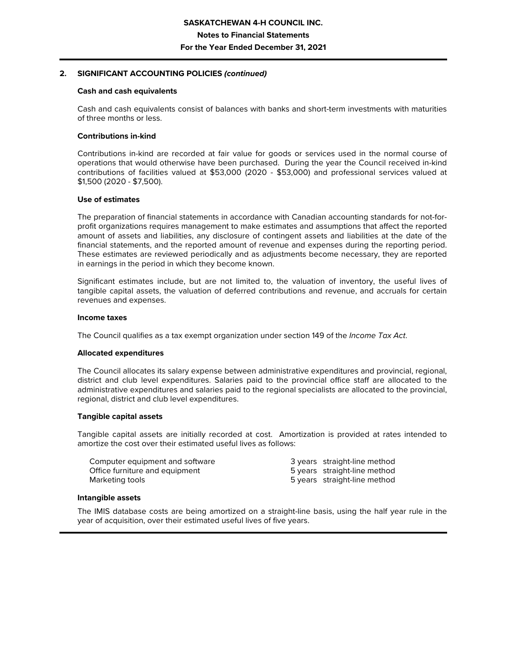### **2. SIGNIFICANT ACCOUNTING POLICIES (continued)**

### **Cash and cash equivalents**

Cash and cash equivalents consist of balances with banks and short-term investments with maturities of three months or less.

### **Contributions in-kind**

Contributions in-kind are recorded at fair value for goods or services used in the normal course of operations that would otherwise have been purchased. During the year the Council received in-kind contributions of facilities valued at \$53,000 (2020 - \$53,000) and professional services valued at \$1,500 (2020 - \$7,500).

### **Use of estimates**

The preparation of financial statements in accordance with Canadian accounting standards for not-forprofit organizations requires management to make estimates and assumptions that affect the reported amount of assets and liabilities, any disclosure of contingent assets and liabilities at the date of the financial statements, and the reported amount of revenue and expenses during the reporting period. These estimates are reviewed periodically and as adjustments become necessary, they are reported in earnings in the period in which they become known.

Significant estimates include, but are not limited to, the valuation of inventory, the useful lives of tangible capital assets, the valuation of deferred contributions and revenue, and accruals for certain revenues and expenses.

### **Income taxes**

The Council qualifies as a tax exempt organization under section 149 of the *Income Tax Act.* 

### **Allocated expenditures**

The Council allocates its salary expense between administrative expenditures and provincial, regional, district and club level expenditures. Salaries paid to the provincial office staff are allocated to the administrative expenditures and salaries paid to the regional specialists are allocated to the provincial, regional, district and club level expenditures.

### **Tangible capital assets**

Tangible capital assets are initially recorded at cost. Amortization is provided at rates intended to amortize the cost over their estimated useful lives as follows:

| Computer equipment and software | 3 years straight-line method |
|---------------------------------|------------------------------|
| Office furniture and equipment  | 5 years straight-line method |
| Marketing tools                 | 5 years straight-line method |

### **Intangible assets**

The IMIS database costs are being amortized on a straight-line basis, using the half year rule in the year of acquisition, over their estimated useful lives of five years.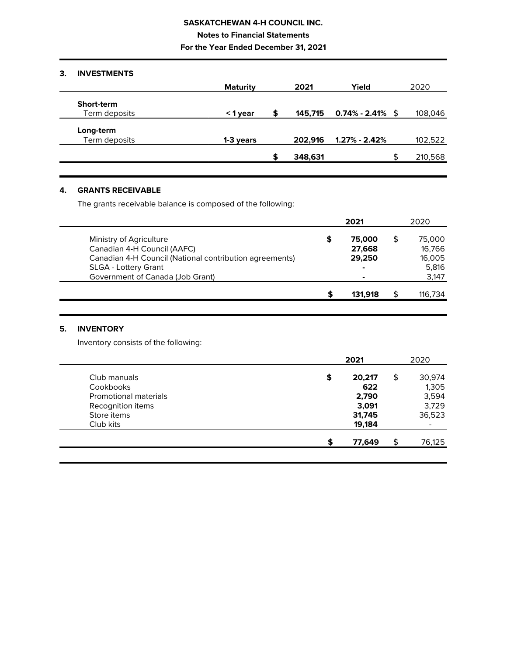**Notes to Financial Statements**

**For the Year Ended December 31, 2021**

# **3. INVESTMENTS**

|               | <b>Maturity</b> |   | 2021    | Yield               |    | 2020    |
|---------------|-----------------|---|---------|---------------------|----|---------|
| Short-term    |                 |   |         |                     |    |         |
| Term deposits | <1 year         | S | 145,715 | $0.74\%$ - 2.41% \$ |    | 108,046 |
| Long-term     |                 |   |         |                     |    |         |
| Term deposits | 1-3 years       |   | 202.916 | $1.27\%$ - 2.42%    |    | 102,522 |
|               |                 |   | 348,631 |                     | £. | 210,568 |

# **4. GRANTS RECEIVABLE**

The grants receivable balance is composed of the following:

|                                                         |   | 2021    | 2020    |
|---------------------------------------------------------|---|---------|---------|
| Ministry of Agriculture                                 | S | 75,000  | 75,000  |
| Canadian 4-H Council (AAFC)                             |   | 27,668  | 16,766  |
| Canadian 4-H Council (National contribution agreements) |   | 29,250  | 16,005  |
| SLGA - Lottery Grant                                    |   | ۰       | 5,816   |
| Government of Canada (Job Grant)                        |   | ۰       | 3,147   |
|                                                         |   | 131.918 | 116.734 |

# **5. INVENTORY**

Inventory consists of the following:

|                              | 2021         | 2020         |
|------------------------------|--------------|--------------|
| Club manuals                 | \$<br>20,217 | \$<br>30,974 |
| Cookbooks                    | 622          | 1,305        |
| <b>Promotional materials</b> | 2,790        | 3,594        |
| Recognition items            | 3,091        | 3,729        |
| Store items                  | 31,745       | 36,523       |
| Club kits                    | 19,184       |              |
|                              | \$<br>77,649 | \$<br>76,125 |
|                              |              |              |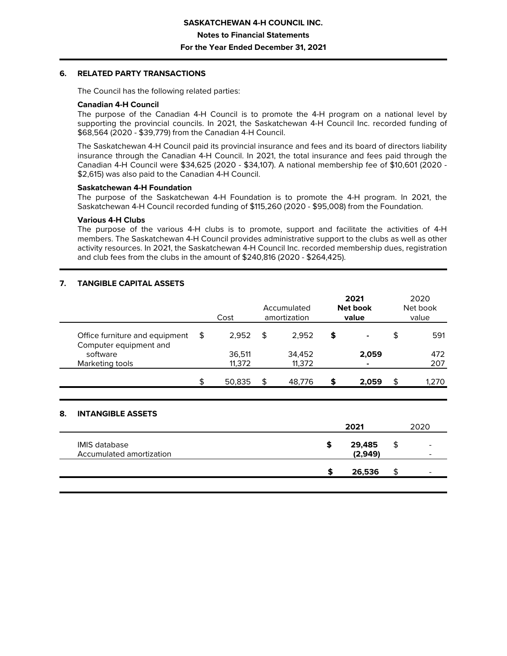### **6. RELATED PARTY TRANSACTIONS**

The Council has the following related parties:

### **Canadian 4-H Council**

The purpose of the Canadian 4-H Council is to promote the 4-H program on a national level by supporting the provincial councils. In 2021, the Saskatchewan 4-H Council Inc. recorded funding of \$68,564 (2020 - \$39,779) from the Canadian 4-H Council.

The Saskatchewan 4-H Council paid its provincial insurance and fees and its board of directors liability insurance through the Canadian 4-H Council. In 2021, the total insurance and fees paid through the Canadian 4-H Council were \$34,625 (2020 - \$34,107). A national membership fee of \$10,601 (2020 - \$2,615) was also paid to the Canadian 4-H Council.

### **Saskatchewan 4-H Foundation**

The purpose of the Saskatchewan 4-H Foundation is to promote the 4-H program. In 2021, the Saskatchewan 4-H Council recorded funding of \$115,260 (2020 - \$95,008) from the Foundation.

### **Various 4-H Clubs**

The purpose of the various 4-H clubs is to promote, support and facilitate the activities of 4-H members. The Saskatchewan 4-H Council provides administrative support to the clubs as well as other activity resources. In 2021, the Saskatchewan 4-H Council Inc. recorded membership dues, registration and club fees from the clubs in the amount of \$240,816 (2020 - \$264,425).

# **7. TANGIBLE CAPITAL ASSETS**

|                                                          | Cost             | Accumulated<br>amortization |                  | 2021<br>Net book<br>value |    | 2020<br>Net book<br>value |
|----------------------------------------------------------|------------------|-----------------------------|------------------|---------------------------|----|---------------------------|
| Office furniture and equipment<br>Computer equipment and | \$<br>2.952      | \$                          | 2.952            | \$<br>۰                   | \$ | 591                       |
| software<br>Marketing tools                              | 36,511<br>11,372 |                             | 34,452<br>11,372 | 2,059                     |    | 472<br>207                |
|                                                          | 50,835           | S                           | 48,776           | \$<br>2,059               | \$ | 1,270                     |

# **8. INTANGIBLE ASSETS**

|                                                  |   | 2021              |    | 2020                                                 |
|--------------------------------------------------|---|-------------------|----|------------------------------------------------------|
| <b>IMIS database</b><br>Accumulated amortization | S | 29,485<br>(2,949) | \$ | $\overline{\phantom{0}}$<br>$\overline{\phantom{0}}$ |
|                                                  |   | 26,536            | œ  | $\overline{\phantom{0}}$                             |
|                                                  |   |                   |    |                                                      |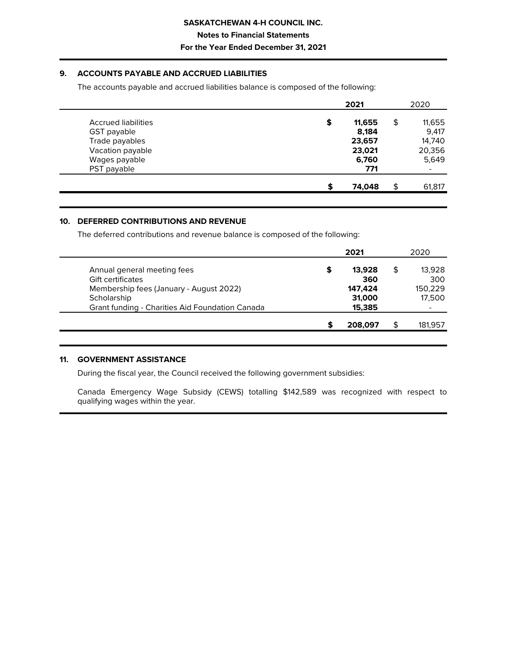**Notes to Financial Statements**

### **For the Year Ended December 31, 2021**

# **9. ACCOUNTS PAYABLE AND ACCRUED LIABILITIES**

The accounts payable and accrued liabilities balance is composed of the following:

|                     | 2021         |    | 2020                     |
|---------------------|--------------|----|--------------------------|
| Accrued liabilities | \$<br>11,655 | \$ | 11,655                   |
| GST payable         | 8.184        |    | 9,417                    |
| Trade payables      | 23,657       |    | 14,740                   |
| Vacation payable    | 23,021       |    | 20,356                   |
| Wages payable       | 6,760        |    | 5,649                    |
| PST payable         | 771          |    | $\overline{\phantom{a}}$ |
|                     | 74.048       | ፍ  | 61,817                   |

### **10. DEFERRED CONTRIBUTIONS AND REVENUE**

The deferred contributions and revenue balance is composed of the following:

|                                                 | 2021         | 2020    |
|-------------------------------------------------|--------------|---------|
| Annual general meeting fees                     | \$<br>13.928 | 13,928  |
| <b>Gift certificates</b>                        | 360          | 300     |
| Membership fees (January - August 2022)         | 147.424      | 150,229 |
| Scholarship                                     | 31,000       | 17,500  |
| Grant funding - Charities Aid Foundation Canada | 15,385       |         |
|                                                 | 208,097      | 181,957 |
|                                                 |              |         |

### **11. GOVERNMENT ASSISTANCE**

During the fiscal year, the Council received the following government subsidies:

Canada Emergency Wage Subsidy (CEWS) totalling \$142,589 was recognized with respect to qualifying wages within the year.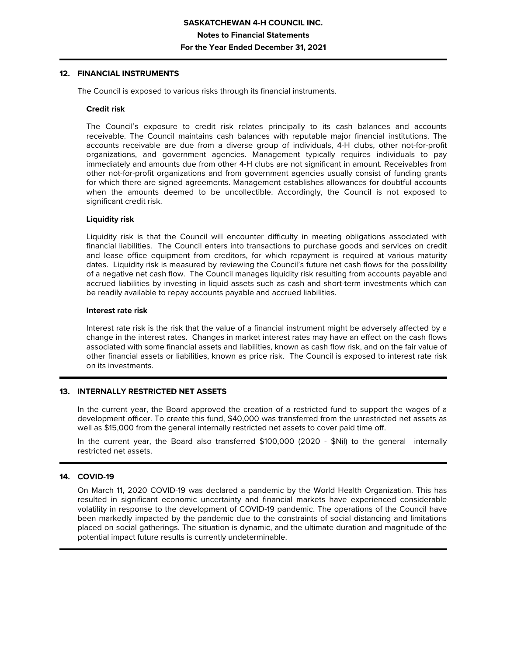### **12. FINANCIAL INSTRUMENTS**

The Council is exposed to various risks through its financial instruments.

### **Credit risk**

The Council's exposure to credit risk relates principally to its cash balances and accounts receivable. The Council maintains cash balances with reputable major financial institutions. The accounts receivable are due from a diverse group of individuals, 4-H clubs, other not-for-profit organizations, and government agencies. Management typically requires individuals to pay immediately and amounts due from other 4-H clubs are not significant in amount. Receivables from other not-for-profit organizations and from government agencies usually consist of funding grants for which there are signed agreements. Management establishes allowances for doubtful accounts when the amounts deemed to be uncollectible. Accordingly, the Council is not exposed to significant credit risk.

### **Liquidity risk**

Liquidity risk is that the Council will encounter difficulty in meeting obligations associated with financial liabilities. The Council enters into transactions to purchase goods and services on credit and lease office equipment from creditors, for which repayment is required at various maturity dates. Liquidity risk is measured by reviewing the Council's future net cash flows for the possibility of a negative net cash flow. The Council manages liquidity risk resulting from accounts payable and accrued liabilities by investing in liquid assets such as cash and short-term investments which can be readily available to repay accounts payable and accrued liabilities.

### **Interest rate risk**

Interest rate risk is the risk that the value of a financial instrument might be adversely affected by a change in the interest rates. Changes in market interest rates may have an effect on the cash flows associated with some financial assets and liabilities, known as cash flow risk, and on the fair value of other financial assets or liabilities, known as price risk. The Council is exposed to interest rate risk on its investments.

# **13. INTERNALLY RESTRICTED NET ASSETS**

In the current year, the Board approved the creation of a restricted fund to support the wages of a development officer. To create this fund, \$40,000 was transferred from the unrestricted net assets as well as \$15,000 from the general internally restricted net assets to cover paid time off.

In the current year, the Board also transferred \$100,000 (2020 - \$Nil) to the general internally restricted net assets.

# **14. COVID-19**

On March 11, 2020 COVID-19 was declared a pandemic by the World Health Organization. This has resulted in significant economic uncertainty and financial markets have experienced considerable volatility in response to the development of COVID-19 pandemic. The operations of the Council have been markedly impacted by the pandemic due to the constraints of social distancing and limitations placed on social gatherings. The situation is dynamic, and the ultimate duration and magnitude of the potential impact future results is currently undeterminable.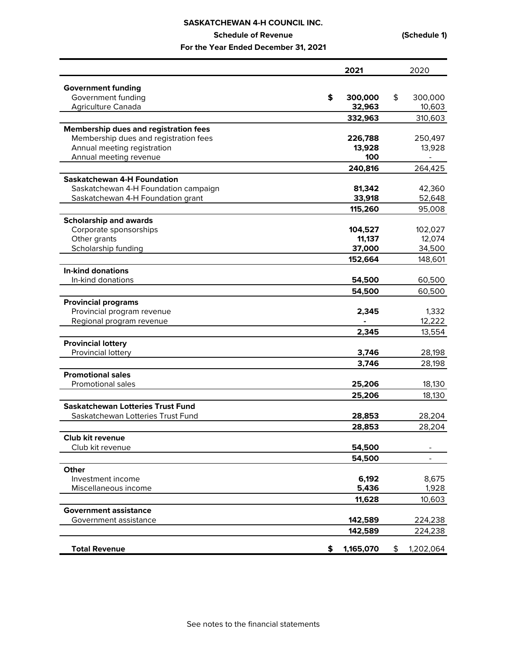|                                                 | 2021              | 2020                     |
|-------------------------------------------------|-------------------|--------------------------|
|                                                 |                   |                          |
| <b>Government funding</b>                       | \$                | \$                       |
| Government funding<br><b>Agriculture Canada</b> | 300,000<br>32,963 | 300,000<br>10,603        |
|                                                 |                   |                          |
|                                                 | 332,963           | 310,603                  |
| <b>Membership dues and registration fees</b>    |                   |                          |
| Membership dues and registration fees           | 226,788           | 250,497                  |
| Annual meeting registration                     | 13,928<br>100     | 13,928                   |
| Annual meeting revenue                          |                   | $\overline{\phantom{0}}$ |
|                                                 | 240,816           | 264,425                  |
| <b>Saskatchewan 4-H Foundation</b>              |                   |                          |
| Saskatchewan 4-H Foundation campaign            | 81,342            | 42,360                   |
| Saskatchewan 4-H Foundation grant               | 33,918            | 52,648                   |
|                                                 | 115,260           | 95,008                   |
| <b>Scholarship and awards</b>                   |                   |                          |
| Corporate sponsorships                          | 104,527           | 102,027                  |
| Other grants                                    | 11,137            | 12,074                   |
| Scholarship funding                             | 37,000            | 34,500                   |
|                                                 | 152,664           | 148,601                  |
| <b>In-kind donations</b>                        |                   |                          |
| In-kind donations                               | 54,500            | 60,500                   |
|                                                 | 54,500            | 60,500                   |
| <b>Provincial programs</b>                      |                   |                          |
| Provincial program revenue                      | 2,345             | 1,332                    |
| Regional program revenue                        |                   | 12,222                   |
|                                                 | 2,345             | 13,554                   |
| <b>Provincial lottery</b>                       |                   |                          |
| Provincial lottery                              | 3,746             | 28,198                   |
|                                                 | 3,746             | 28,198                   |
| <b>Promotional sales</b>                        |                   |                          |
| Promotional sales                               | 25,206            | 18,130                   |
|                                                 |                   |                          |
|                                                 | 25,206            | 18,130                   |
| <b>Saskatchewan Lotteries Trust Fund</b>        |                   |                          |
| Saskatchewan Lotteries Trust Fund               | 28,853            | 28,204                   |
|                                                 | 28,853            | 28,204                   |
| Club kit revenue                                |                   |                          |
| Club kit revenue                                | 54,500            |                          |
|                                                 | 54,500            |                          |
| <b>Other</b>                                    |                   |                          |
| Investment income                               | 6,192             | 8,675                    |
| Miscellaneous income                            | 5,436             | 1,928                    |
|                                                 | 11,628            | 10,603                   |
| <b>Government assistance</b>                    |                   |                          |
| Government assistance                           | 142,589           | 224,238                  |
|                                                 | 142,589           | 224,238                  |
|                                                 |                   |                          |
| <b>Total Revenue</b>                            | \$<br>1,165,070   | \$<br>1,202,064          |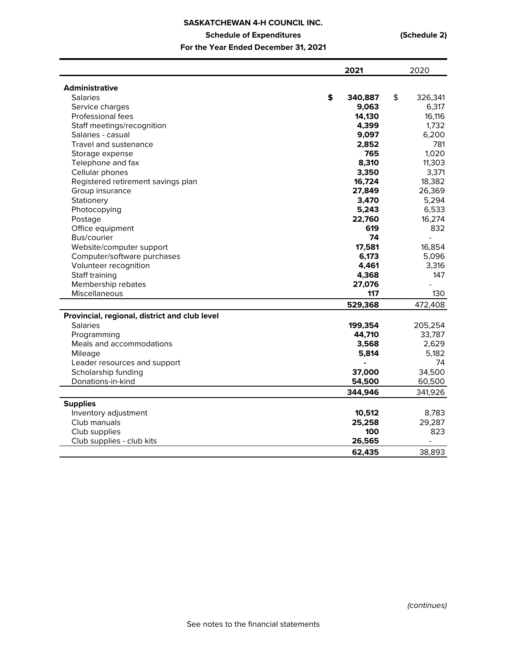|                                               | 2021          | 2020                     |
|-----------------------------------------------|---------------|--------------------------|
|                                               |               |                          |
| <b>Administrative</b>                         |               |                          |
| <b>Salaries</b>                               | \$<br>340,887 | \$<br>326,341            |
| Service charges                               | 9,063         | 6,317                    |
| Professional fees                             | 14,130        | 16,116                   |
| Staff meetings/recognition                    | 4,399         | 1,732                    |
| Salaries - casual                             | 9,097         | 6,200                    |
| Travel and sustenance                         | 2,852         | 781                      |
| Storage expense                               | 765           | 1,020                    |
| Telephone and fax                             | 8,310         | 11,303                   |
| Cellular phones                               | 3,350         | 3,371                    |
| Registered retirement savings plan            | 16,724        | 18,382                   |
| Group insurance                               | 27,849        | 26,369                   |
| Stationery                                    | 3,470         | 5,294                    |
| Photocopying                                  | 5,243         | 6,533                    |
| Postage                                       | 22,760        | 16,274                   |
| Office equipment                              | 619           | 832                      |
| Bus/courier                                   | 74            | $\overline{a}$           |
| Website/computer support                      | 17,581        | 16,854                   |
| Computer/software purchases                   | 6,173         | 5,096                    |
| Volunteer recognition                         | 4,461         | 3,316                    |
| Staff training                                | 4,368         | 147                      |
| Membership rebates                            | 27,076        | $\overline{a}$           |
| Miscellaneous                                 | 117           | 130                      |
|                                               | 529,368       | 472,408                  |
| Provincial, regional, district and club level |               |                          |
| <b>Salaries</b>                               | 199,354       | 205,254                  |
| Programming                                   | 44,710        | 33,787                   |
| Meals and accommodations                      | 3,568         | 2,629                    |
| Mileage                                       | 5,814         | 5,182                    |
| Leader resources and support                  | ä,            | 74                       |
| Scholarship funding                           | 37,000        | 34,500                   |
| Donations-in-kind                             | 54,500        | 60,500                   |
|                                               | 344,946       | 341,926                  |
| <b>Supplies</b>                               |               |                          |
| Inventory adjustment                          | 10,512        | 8,783                    |
| Club manuals                                  | 25,258        | 29,287                   |
| Club supplies                                 | 100           | 823                      |
| Club supplies - club kits                     | 26,565        | $\overline{\phantom{0}}$ |
|                                               | 62,435        | 38,893                   |
|                                               |               |                          |